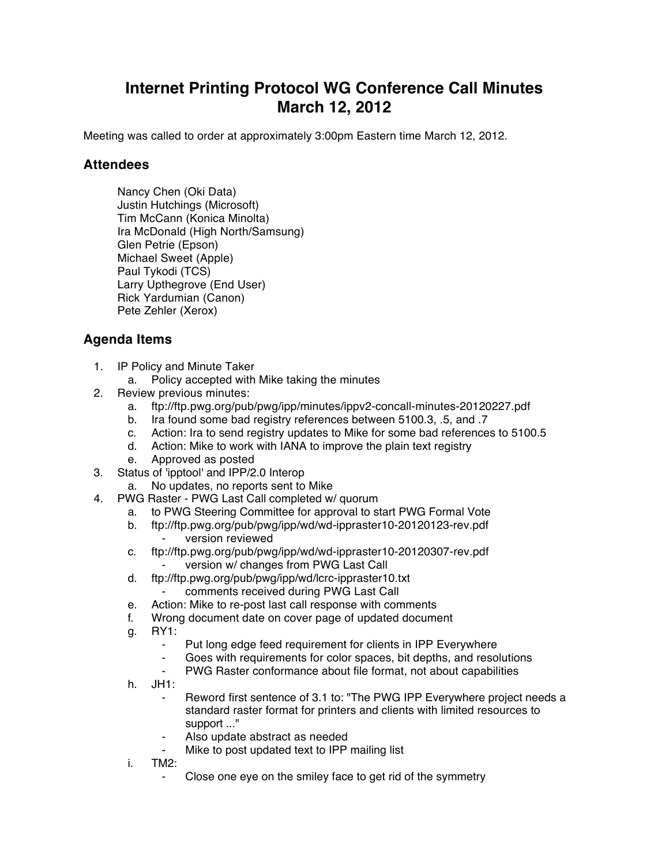## **Internet Printing Protocol WG Conference Call Minutes March 12, 2012**

Meeting was called to order at approximately 3:00pm Eastern time March 12, 2012.

## **Attendees**

Nancy Chen (Oki Data) Justin Hutchings (Microsoft) Tim McCann (Konica Minolta) Ira McDonald (High North/Samsung) Glen Petrie (Epson) Michael Sweet (Apple) Paul Tykodi (TCS) Larry Upthegrove (End User) Rick Yardumian (Canon) Pete Zehler (Xerox)

## **Agenda Items**

- 1. IP Policy and Minute Taker
	- a. Policy accepted with Mike taking the minutes
- 2. Review previous minutes:
	- a. ftp://ftp.pwg.org/pub/pwg/ipp/minutes/ippv2-concall-minutes-20120227.pdf
	- b. Ira found some bad registry references between 5100.3, .5, and .7
	- c. Action: Ira to send registry updates to Mike for some bad references to 5100.5
	- d. Action: Mike to work with IANA to improve the plain text registry
	- e. Approved as posted
- 3. Status of 'ipptool' and IPP/2.0 Interop
	- a. No updates, no reports sent to Mike
- 4. PWG Raster PWG Last Call completed w/ quorum
	- a. to PWG Steering Committee for approval to start PWG Formal Vote
	- b. ftp://ftp.pwg.org/pub/pwg/ipp/wd/wd-ippraster10-20120123-rev.pdf ⁃ version reviewed
	- c. ftp://ftp.pwg.org/pub/pwg/ipp/wd/wd-ippraster10-20120307-rev.pdf version w/ changes from PWG Last Call
	- d. ftp://ftp.pwg.org/pub/pwg/ipp/wd/lcrc-ippraster10.txt comments received during PWG Last Call
	- e. Action: Mike to re-post last call response with comments
	- f. Wrong document date on cover page of updated document
	- g. RY1:
		- Put long edge feed requirement for clients in IPP Everywhere
		- Goes with requirements for color spaces, bit depths, and resolutions
		- ⁃ PWG Raster conformance about file format, not about capabilities
	- h. JH1:
		- Reword first sentence of 3.1 to: "The PWG IPP Everywhere project needs a standard raster format for printers and clients with limited resources to support ..."
		- Also update abstract as needed
		- Mike to post updated text to IPP mailing list
	- i. TM2:
		- Close one eye on the smiley face to get rid of the symmetry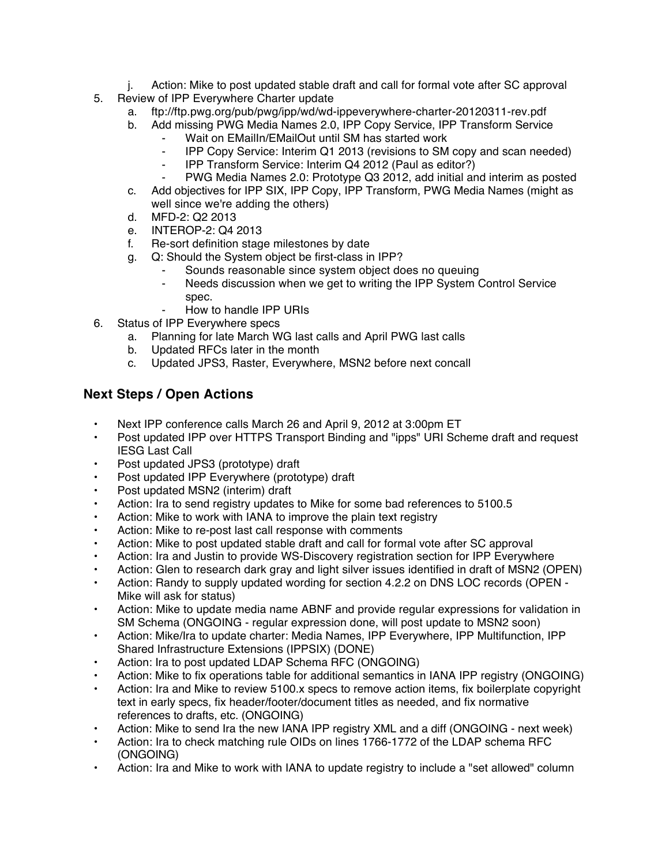- j. Action: Mike to post updated stable draft and call for formal vote after SC approval
- 5. Review of IPP Everywhere Charter update
	- a. ftp://ftp.pwg.org/pub/pwg/ipp/wd/wd-ippeverywhere-charter-20120311-rev.pdf
	- b. Add missing PWG Media Names 2.0, IPP Copy Service, IPP Transform Service
		- Wait on EMailIn/EMailOut until SM has started work
		- ⁃ IPP Copy Service: Interim Q1 2013 (revisions to SM copy and scan needed)
		- ⁃ IPP Transform Service: Interim Q4 2012 (Paul as editor?)
		- PWG Media Names 2.0: Prototype Q3 2012, add initial and interim as posted
	- c. Add objectives for IPP SIX, IPP Copy, IPP Transform, PWG Media Names (might as well since we're adding the others)
	- d. MFD-2: Q2 2013
	- e. INTEROP-2: Q4 2013
	- f. Re-sort definition stage milestones by date
	- g. Q: Should the System object be first-class in IPP?
		- Sounds reasonable since system object does no queuing
		- ⁃ Needs discussion when we get to writing the IPP System Control Service spec.
		- ⁃ How to handle IPP URIs
- 6. Status of IPP Everywhere specs
	- a. Planning for late March WG last calls and April PWG last calls
	- b. Updated RFCs later in the month
	- c. Updated JPS3, Raster, Everywhere, MSN2 before next concall

## **Next Steps / Open Actions**

- Next IPP conference calls March 26 and April 9, 2012 at 3:00pm ET
- Post updated IPP over HTTPS Transport Binding and "ipps" URI Scheme draft and request IESG Last Call
- Post updated JPS3 (prototype) draft
- Post updated IPP Everywhere (prototype) draft
- Post updated MSN2 (interim) draft
- Action: Ira to send registry updates to Mike for some bad references to 5100.5
- Action: Mike to work with IANA to improve the plain text registry
- Action: Mike to re-post last call response with comments
- Action: Mike to post updated stable draft and call for formal vote after SC approval
- Action: Ira and Justin to provide WS-Discovery registration section for IPP Everywhere
- Action: Glen to research dark gray and light silver issues identified in draft of MSN2 (OPEN)
- Action: Randy to supply updated wording for section 4.2.2 on DNS LOC records (OPEN Mike will ask for status)
- Action: Mike to update media name ABNF and provide regular expressions for validation in SM Schema (ONGOING - regular expression done, will post update to MSN2 soon)
- Action: Mike/Ira to update charter: Media Names, IPP Everywhere, IPP Multifunction, IPP Shared Infrastructure Extensions (IPPSIX) (DONE)
- Action: Ira to post updated LDAP Schema RFC (ONGOING)
- Action: Mike to fix operations table for additional semantics in IANA IPP registry (ONGOING)
- Action: Ira and Mike to review 5100.x specs to remove action items, fix boilerplate copyright text in early specs, fix header/footer/document titles as needed, and fix normative references to drafts, etc. (ONGOING)
- Action: Mike to send Ira the new IANA IPP registry XML and a diff (ONGOING next week)
- Action: Ira to check matching rule OIDs on lines 1766-1772 of the LDAP schema RFC (ONGOING)
- Action: Ira and Mike to work with IANA to update registry to include a "set allowed" column